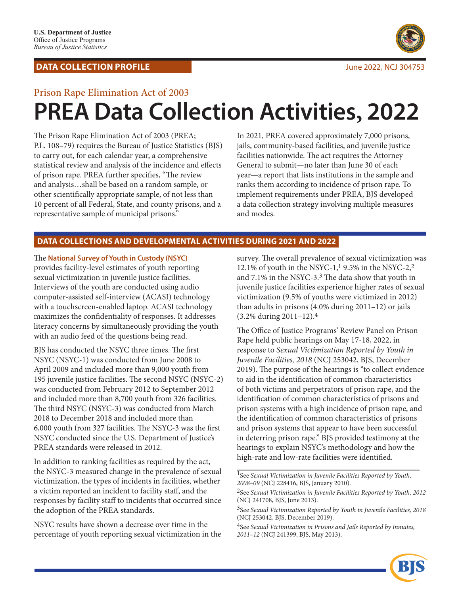## **DATA COLLECTION PROFILE DATA COLLECTION PROFILE**



# Prison Rape Elimination Act of 2003 **PREA Data Collection Activities, 2022**

The Prison Rape Elimination Act of 2003 (PREA; P.L. 108–79) requires the Bureau of Justice Statistics (BJS) to carry out, for each calendar year, a comprehensive statistical review and analysis of the incidence and effects of prison rape. PREA further specifies, "The review and analysis…shall be based on a random sample, or other scientifically appropriate sample, of not less than 10 percent of all Federal, State, and county prisons, and a representative sample of municipal prisons."

In 2021, PREA covered approximately 7,000 prisons, jails, community-based facilities, and juvenile justice facilities nationwide. The act requires the Attorney General to submit—no later than June 30 of each year—a report that lists institutions in the sample and ranks them according to incidence of prison rape. To implement requirements under PREA, BJS developed a data collection strategy involving multiple measures and modes.

### **DATA COLLECTIONS AND DEVELOPMENTAL ACTIVITIES DURING 2021 AND 2022**

The **National Survey of Youth in Custody (NSYC)** provides facility-level estimates of youth reporting sexual victimization in juvenile justice facilities. Interviews of the youth are conducted using audio computer-assisted self-interview (ACASI) technology with a touchscreen-enabled laptop. ACASI technology maximizes the confidentiality of responses. It addresses literacy concerns by simultaneously providing the youth with an audio feed of the questions being read.

BJS has conducted the NSYC three times. The first NSYC (NSYC-1) was conducted from June 2008 to April 2009 and included more than 9,000 youth from 195 juvenile justice facilities. The second NSYC (NSYC-2) was conducted from February 2012 to September 2012 and included more than 8,700 youth from 326 facilities. The third NSYC (NSYC-3) was conducted from March 2018 to December 2018 and included more than 6,000 youth from 327 facilities. The NSYC-3 was the first NSYC conducted since the U.S. Department of Justice's PREA standards were released in 2012.

In addition to ranking facilities as required by the act, the NSYC-3 measured change in the prevalence of sexual victimization, the types of incidents in facilities, whether a victim reported an incident to facility staff, and the responses by facility staff to incidents that occurred since the adoption of the PREA standards.

NSYC results have shown a decrease over time in the percentage of youth reporting sexual victimization in the

survey. The overall prevalence of sexual victimization was 12.1% of youth in the NSYC-1,1 9.5% in the NSYC-2,2 and 7.1% in the NSYC-3.3 The data show that youth in juvenile justice facilities experience higher rates of sexual victimization (9.5% of youths were victimized in 2012) than adults in prisons (4.0% during 2011–12) or jails (3.2% during 2011–12).4

The Office of Justice Programs' Review Panel on Prison Rape held public hearings on May 17-18, 2022, in response to *Sexual Victimization Reported by Youth in Juvenile Facilities, 2018* (NCJ 253042, BJS, December 2019). The purpose of the hearings is "to collect evidence to aid in the identification of common characteristics of both victims and perpetrators of prison rape, and the identification of common characteristics of prisons and prison systems with a high incidence of prison rape, and the identification of common characteristics of prisons and prison systems that appear to have been successful in deterring prison rape." BJS provided testimony at the hearings to explain NSYC's methodology and how the high-rate and low-rate facilities were identified.

1See *Sexual Victimization in Juvenile Facilities Reported by Youth, 2008–09* (NCJ 228416, BJS, January 2010).

<sup>4</sup>See *Sexual Victimization in Prisons and Jails Reported by Inmates, 2011–12* (NCJ 241399, BJS, May 2013).



<sup>2</sup>See *Sexual Victimization in Juvenile Facilities Reported by Youth, 2012* (NCJ 241708, BJS, June 2013).

<sup>3</sup>See *Sexual Victimization Reported by Youth in Juvenile Facilities, 2018* (NCJ 253042, BJS, December 2019).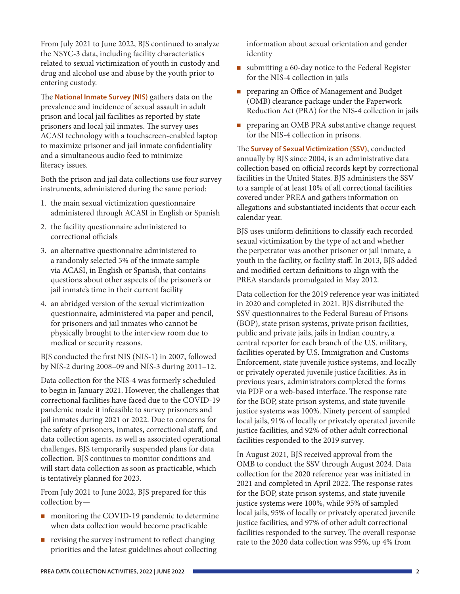From July 2021 to June 2022, BJS continued to analyze the NSYC-3 data, including facility characteristics related to sexual victimization of youth in custody and drug and alcohol use and abuse by the youth prior to entering custody.

The **National Inmate Survey (NIS)** gathers data on the prevalence and incidence of sexual assault in adult prison and local jail facilities as reported by state prisoners and local jail inmates. The survey uses ACASI technology with a touchscreen-enabled laptop to maximize prisoner and jail inmate confidentiality and a simultaneous audio feed to minimize literacy issues.

Both the prison and jail data collections use four survey instruments, administered during the same period:

- 1. the main sexual victimization questionnaire administered through ACASI in English or Spanish
- 2. the facility questionnaire administered to correctional officials
- 3. an alternative questionnaire administered to a randomly selected 5% of the inmate sample via ACASI, in English or Spanish, that contains questions about other aspects of the prisoner's or jail inmate's time in their current facility
- 4. an abridged version of the sexual victimization questionnaire, administered via paper and pencil, for prisoners and jail inmates who cannot be physically brought to the interview room due to medical or security reasons.

BJS conducted the first NIS (NIS-1) in 2007, followed by NIS-2 during 2008–09 and NIS-3 during 2011–12.

Data collection for the NIS-4 was formerly scheduled to begin in January 2021. However, the challenges that correctional facilities have faced due to the COVID-19 pandemic made it infeasible to survey prisoners and jail inmates during 2021 or 2022. Due to concerns for the safety of prisoners, inmates, correctional staff, and data collection agents, as well as associated operational challenges, BJS temporarily suspended plans for data collection. BJS continues to monitor conditions and will start data collection as soon as practicable, which is tentatively planned for 2023.

From July 2021 to June 2022, BJS prepared for this collection by—

- **n** monitoring the COVID-19 pandemic to determine when data collection would become practicable
- $\blacksquare$  revising the survey instrument to reflect changing priorities and the latest guidelines about collecting

information about sexual orientation and gender identity

- submitting a 60-day notice to the Federal Register for the NIS-4 collection in jails
- **Paring an Office of Management and Budget** (OMB) clearance package under the Paperwork Reduction Act (PRA) for the NIS-4 collection in jails
- **PEDRICAL PRA substantive change request** for the NIS-4 collection in prisons.

The **Survey of Sexual Victimization (SSV)**, conducted annually by BJS since 2004, is an administrative data collection based on official records kept by correctional facilities in the United States. BJS administers the SSV to a sample of at least 10% of all correctional facilities covered under PREA and gathers information on allegations and substantiated incidents that occur each calendar year.

BJS uses uniform definitions to classify each recorded sexual victimization by the type of act and whether the perpetrator was another prisoner or jail inmate, a youth in the facility, or facility staff. In 2013, BJS added and modified certain definitions to align with the PREA standards promulgated in May 2012.

Data collection for the 2019 reference year was initiated in 2020 and completed in 2021. BJS distributed the SSV questionnaires to the Federal Bureau of Prisons (BOP), state prison systems, private prison facilities, public and private jails, jails in Indian country, a central reporter for each branch of the U.S. military, facilities operated by U.S. Immigration and Customs Enforcement, state juvenile justice systems, and locally or privately operated juvenile justice facilities. As in previous years, administrators completed the forms via PDF or a web-based interface. The response rate for the BOP, state prison systems, and state juvenile justice systems was 100%. Ninety percent of sampled local jails, 91% of locally or privately operated juvenile justice facilities, and 92% of other adult correctional facilities responded to the 2019 survey.

In August 2021, BJS received approval from the OMB to conduct the SSV through August 2024. Data collection for the 2020 reference year was initiated in 2021 and completed in April 2022. The response rates for the BOP, state prison systems, and state juvenile justice systems were 100%, while 95% of sampled local jails, 95% of locally or privately operated juvenile justice facilities, and 97% of other adult correctional facilities responded to the survey. The overall response rate to the 2020 data collection was 95%, up 4% from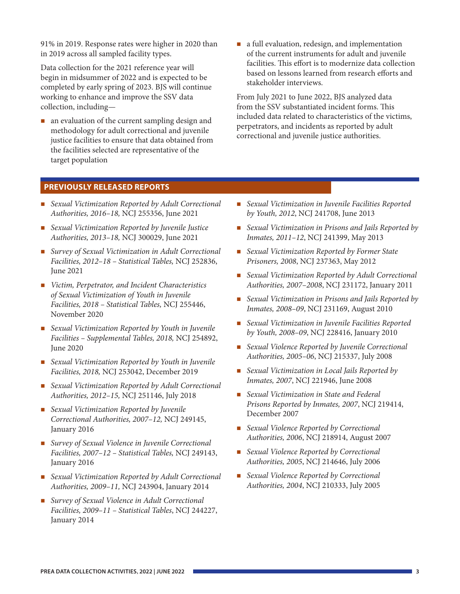91% in 2019. Response rates were higher in 2020 than in 2019 across all sampled facility types.

Data collection for the 2021 reference year will begin in midsummer of 2022 and is expected to be completed by early spring of 2023. BJS will continue working to enhance and improve the SSV data collection, including—

- **n** an evaluation of the current sampling design and methodology for adult correctional and juvenile justice facilities to ensure that data obtained from the facilities selected are representative of the target population
- a full evaluation, redesign, and implementation of the current instruments for adult and juvenile facilities. This effort is to modernize data collection based on lessons learned from research efforts and stakeholder interviews.

From July 2021 to June 2022, BJS analyzed data from the SSV substantiated incident forms. This included data related to characteristics of the victims, perpetrators, and incidents as reported by adult correctional and juvenile justice authorities.

#### **PREVIOUSLY RELEASED REPORTS**

- *Sexual Victimization Reported by Adult Correctional Authorities, 2016–18,* NCJ 255356, June 2021
- *Sexual Victimization Reported by Juvenile Justice Authorities, 2013–18,* NCJ 300029, June 2021
- *Survey of Sexual Victimization in Adult Correctional Facilities, 2012–18 – Statistical Tables,* NCJ 252836, June 2021
- *Victim, Perpetrator, and Incident Characteristics of Sexual Victimization of Youth in Juvenile Facilities, 2018 – Statistical Tables,* NCJ 255446, November 2020
- *Sexual Victimization Reported by Youth in Juvenile Facilities – Supplemental Tables, 2018,* NCJ 254892, June 2020
- *Sexual Victimization Reported by Youth in Juvenile Facilities, 2018,* NCJ 253042, December 2019
- *Sexual Victimization Reported by Adult Correctional Authorities, 2012–15,* NCJ 251146, July 2018
- *Sexual Victimization Reported by Juvenile Correctional Authorities, 2007–12,* NCJ 249145, January 2016
- *Survey of Sexual Violence in Juvenile Correctional Facilities, 2007–12 – Statistical Tables,* NCJ 249143, January 2016
- *Sexual Victimization Reported by Adult Correctional Authorities, 2009–11,* NCJ 243904, January 2014
- *Survey of Sexual Violence in Adult Correctional Facilities, 2009–11 – Statistical Tables*, NCJ 244227, January 2014
- *Sexual Victimization in Juvenile Facilities Reported by Youth, 2012*, NCJ 241708, June 2013
- *Sexual Victimization in Prisons and Jails Reported by Inmates, 2011–12*, NCJ 241399, May 2013
- *Sexual Victimization Reported by Former State Prisoners, 2008*, NCJ 237363, May 2012
- *Sexual Victimization Reported by Adult Correctional Authorities, 2007–2008*, NCJ 231172, January 2011
- *Sexual Victimization in Prisons and Jails Reported by Inmates, 2008–09*, NCJ 231169, August 2010
- *Sexual Victimization in Juvenile Facilities Reported by Youth, 2008–09*, NCJ 228416, January 2010
- *Sexual Violence Reported by Juvenile Correctional Authorities, 2005–06*, NCJ 215337, July 2008
- *Sexual Victimization in Local Jails Reported by Inmates, 2007*, NCJ 221946, June 2008
- *Sexual Victimization in State and Federal Prisons Reported by Inmates, 2007*, NCJ 219414, December 2007
- *Sexual Violence Reported by Correctional Authorities, 2006*, NCJ 218914, August 2007
- *Sexual Violence Reported by Correctional Authorities, 2005*, NCJ 214646, July 2006
- *Sexual Violence Reported by Correctional Authorities, 2004*, NCJ 210333, July 2005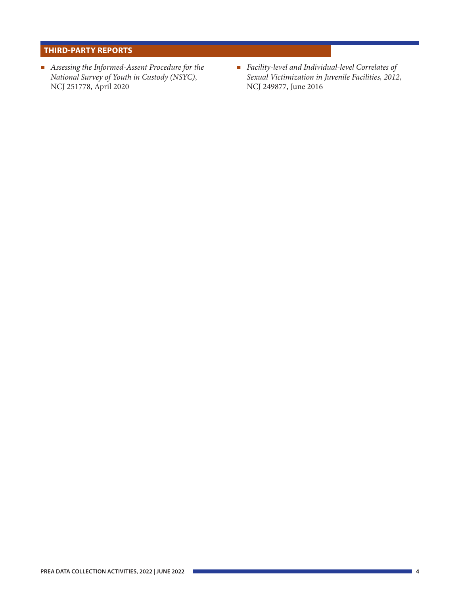### **THIRD-PARTY REPORTS**

- *Assessing the Informed-Assent Procedure for the National Survey of Youth in Custody (NSYC)*, NCJ 251778, April 2020
- *Facility-level and Individual-level Correlates of Sexual Victimization in Juvenile Facilities, 2012*, NCJ 249877, June 2016